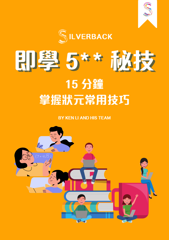



# 日川室 5\*\* 放休 15 分鐘 掌握狀元常用技巧

#### **BY KEN LI AND HIS TEAM**

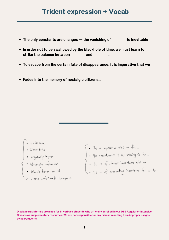### **Trident expression + Vocab**

- **The only constants are changes – the vanishing of \_\_\_\_\_\_\_\_ is inevitable**
- **In order not to be swallowed by the blackhole of time, we must learn to strike the balance between \_\_\_\_\_\_\_\_ and \_\_\_\_\_\_\_\_...**
- **To escape from the certain fate of disappearance, it is imperative that we \_\_\_\_\_\_\_\_**
- **Fades into the memory of nostalgic citizens...**

- 
- 
- 
- 
- 
- C. Undermine<br>
Devastate<br>
Peyastively impact<br>
Adversely influence<br>
Wreak havor on sth.<br>
Perote unfathomable damages to
- 
- 
- 
- So It is imperative that we fix...<br>We should make it our priority to fix...<br>It is of utmost importance that we ...<br>It is of overriding importance for us to.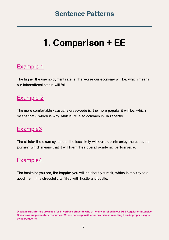### **Sentence Patterns**

# **1. Comparison + EE**

### Example 1

The higher the unemployment rate is, the worse our economy will be, which means our international status will fall.

### Example 2

The more comfortable / casual a dress-code is, the more popular it will be, which means that // which is why Athleisure is so common in HK recently.

### Example3

The stricter the exam system is, the less likely will our students enjoy the education journey, which means that it will harm their overall academic performance.

### Example4

The healthier you are, the happier you will be about yourself, which is the key to a good life in this stressful city filled with hustle and bustle.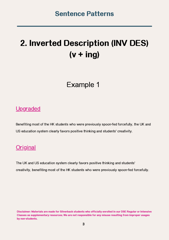# **2. Inverted Description (INV DES) (v + ing)**

### Example 1

### **Upgraded**

Benefiting most of the HK students who were previously spoon-fed forcefully, the UK and US education system clearly favors positive thinking and students' creativity.

### **Original**

The UK and US education system clearly favors positive thinking and students' creativity, benefiting most of the HK students who were previously spoon-fed forcefully.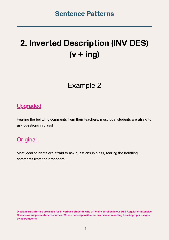# **2. Inverted Description (INV DES) (v + ing)**

### Example 2

#### **Upgraded**

Fearing the belittling comments from their teachers, most local students are afraid to ask questions in class!

### **Original**

Most local students are afraid to ask questions in class, fearing the belittling comments from their teachers.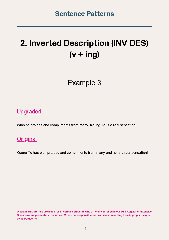# **2. Inverted Description (INV DES) (v + ing)**

Example 3

### Upgraded

Winning praises and compliments from many, Keung To is a real sensation!

### **Original**

Keung To has won praises and compliments from many and he is a real sensation!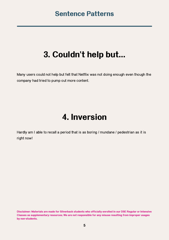# **3. Couldn't help but...**

Many users could not help but felt that Netflix was not doing enough even though the company had tried to pump out more content.

# **4. Inversion**

Hardly am I able to recall a period that is as boring / mundane / pedestrian as it is right now!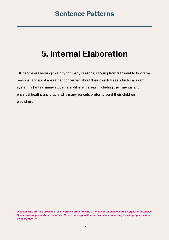## **5. Internal Elaboration**

HK people are leaving this city for many reasons, ranging from transient to longterm reasons, and most are rather concerned about their own futures. Our local exam system is hurting many students in different areas, including their mental and physical health, and that is why many parents prefer to send their children elsewhere.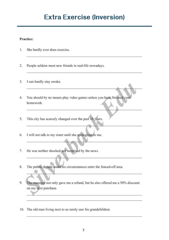### **Extra Exercise (Inversion)**

#### **Practice:**

- She hardly ever does exercise.  $1.$
- $\overline{2}$ . People seldom meet new friends in real-life nowadays.
- I can hardly stay awake.  $3.$
- You should by no means play video games unless you have finished your  $4.$ homework.
- This city has scarcely changed over the past 10 years. 5.
- I will not talk to my sister until she apologizes to me. 6.
- He was neither shocked nor surprised by the news. 7.
- The public should under no circumstances enter the fenced-off area. 8.
- 9. The manager not only gave me a refund, but he also offered me a 50% discount on my next purchase.
- 10. The old man living next to us rarely saw his grandchildren.